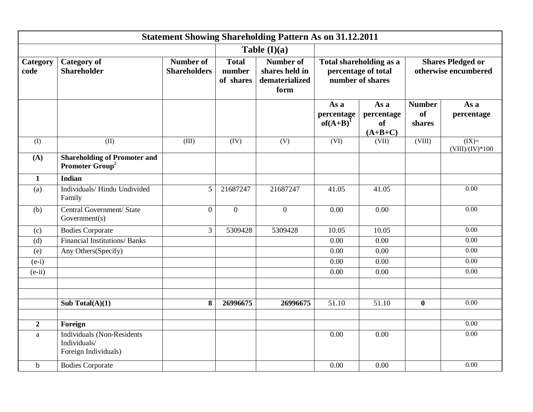| <b>Statement Showing Shareholding Pattern As on 31.12.2011</b> |                                                                           |                                         |                                     |                                                              |                                                                    |                                              |                                                  |                              |
|----------------------------------------------------------------|---------------------------------------------------------------------------|-----------------------------------------|-------------------------------------|--------------------------------------------------------------|--------------------------------------------------------------------|----------------------------------------------|--------------------------------------------------|------------------------------|
|                                                                |                                                                           |                                         |                                     | Table $(I)(a)$                                               |                                                                    |                                              |                                                  |                              |
| Category<br>code                                               | <b>Category</b> of<br><b>Shareholder</b>                                  | <b>Number of</b><br><b>Shareholders</b> | <b>Total</b><br>number<br>of shares | <b>Number of</b><br>shares held in<br>dematerialized<br>form | Total shareholding as a<br>percentage of total<br>number of shares |                                              | <b>Shares Pledged or</b><br>otherwise encumbered |                              |
|                                                                |                                                                           |                                         |                                     |                                                              | As a<br>percentage<br>$of(A+B)^{1}$                                | As a<br>percentage<br><b>of</b><br>$(A+B+C)$ | <b>Number</b><br><b>of</b><br>shares             | As a<br>percentage           |
| (I)                                                            | (II)                                                                      | (III)                                   | (IV)                                | (V)                                                          | (VI)                                                               | (VII)                                        | (VIII)                                           | $(IX)=$<br>$(VIII)/(IV)*100$ |
| (A)                                                            | <b>Shareholding of Promoter and</b><br>Promoter Group <sup>2</sup>        |                                         |                                     |                                                              |                                                                    |                                              |                                                  |                              |
| $\mathbf{1}$                                                   | <b>Indian</b>                                                             |                                         |                                     |                                                              |                                                                    |                                              |                                                  |                              |
| (a)                                                            | Individuals/Hindu Undivided<br>Family                                     | 5                                       | 21687247                            | 21687247                                                     | 41.05                                                              | 41.05                                        |                                                  | $\overline{0.00}$            |
| (b)                                                            | Central Government/ State<br>Government(s)                                | $\theta$                                | $\overline{0}$                      | $\boldsymbol{0}$                                             | 0.00                                                               | 0.00                                         |                                                  | $\overline{0.00}$            |
| (c)                                                            | <b>Bodies Corporate</b>                                                   | $\overline{3}$                          | 5309428                             | 5309428                                                      | 10.05                                                              | 10.05                                        |                                                  | 0.00                         |
| (d)                                                            | <b>Financial Institutions/Banks</b>                                       |                                         |                                     |                                                              | 0.00                                                               | 0.00                                         |                                                  | $\overline{0.00}$            |
| (e)                                                            | Any Others(Specify)                                                       |                                         |                                     |                                                              | 0.00                                                               | 0.00                                         |                                                  | $\overline{0.00}$            |
| $(e-i)$                                                        |                                                                           |                                         |                                     |                                                              | 0.00                                                               | $\overline{0.00}$                            |                                                  | $\overline{0.00}$            |
| $(e-ii)$                                                       |                                                                           |                                         |                                     |                                                              | 0.00                                                               | 0.00                                         |                                                  | 0.00                         |
|                                                                | Sub Total(A)(1)                                                           | 8                                       | 26996675                            | 26996675                                                     | $\overline{51.10}$                                                 | 51.10                                        | $\bf{0}$                                         | 0.00                         |
|                                                                |                                                                           |                                         |                                     |                                                              |                                                                    |                                              |                                                  | 0.00                         |
| $\boldsymbol{2}$                                               | Foreign                                                                   |                                         |                                     |                                                              |                                                                    |                                              |                                                  | $\overline{0.00}$            |
| $\rm{a}$                                                       | <b>Individuals (Non-Residents</b><br>Individuals/<br>Foreign Individuals) |                                         |                                     |                                                              | 0.00                                                               | 0.00                                         |                                                  |                              |
| $\mathbf b$                                                    | <b>Bodies Corporate</b>                                                   |                                         |                                     |                                                              | 0.00                                                               | 0.00                                         |                                                  | 0.00                         |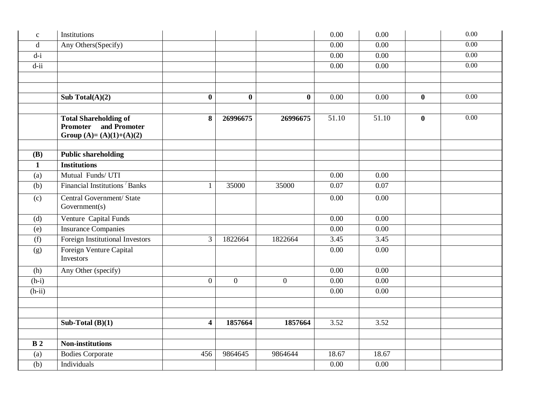| $\mathbf{C}$       | Institutions                                                                                 |                         |                |                  | 0.00              | 0.00              |          | 0.00              |
|--------------------|----------------------------------------------------------------------------------------------|-------------------------|----------------|------------------|-------------------|-------------------|----------|-------------------|
| $\mathbf d$        | Any Others(Specify)                                                                          |                         |                |                  | 0.00              | 0.00              |          | 0.00              |
| $d-i$              |                                                                                              |                         |                |                  | $0.00\,$          | 0.00              |          | 0.00              |
| $\overline{d}$ -ii |                                                                                              |                         |                |                  | 0.00              | 0.00              |          | $\overline{0.00}$ |
|                    |                                                                                              |                         |                |                  |                   |                   |          |                   |
|                    |                                                                                              |                         |                |                  |                   |                   |          |                   |
|                    | Sub Total $(A)(2)$                                                                           | $\mathbf 0$             | $\bf{0}$       | $\boldsymbol{0}$ | $\overline{0.00}$ | 0.00              | $\bf{0}$ | 0.00              |
|                    |                                                                                              |                         |                |                  |                   |                   |          |                   |
|                    | <b>Total Shareholding of</b><br>and Promoter<br><b>Promoter</b><br>Group $(A)=(A)(1)+(A)(2)$ | 8                       | 26996675       | 26996675         | 51.10             | 51.10             | $\bf{0}$ | 0.00              |
|                    |                                                                                              |                         |                |                  |                   |                   |          |                   |
| <b>(B)</b>         | <b>Public shareholding</b>                                                                   |                         |                |                  |                   |                   |          |                   |
| $\mathbf{1}$       | <b>Institutions</b>                                                                          |                         |                |                  |                   |                   |          |                   |
| (a)                | Mutual Funds/UTI                                                                             |                         |                |                  | 0.00              | 0.00              |          |                   |
| (b)                | Financial Institutions Banks                                                                 | 1                       | 35000          | 35000            | 0.07              | 0.07              |          |                   |
| (c)                | Central Government/ State<br>Government(s)                                                   |                         |                |                  | 0.00              | 0.00              |          |                   |
| (d)                | Venture Capital Funds                                                                        |                         |                |                  | 0.00              | 0.00              |          |                   |
| (e)                | <b>Insurance Companies</b>                                                                   |                         |                |                  | $\overline{0.00}$ | $\overline{0.00}$ |          |                   |
| (f)                | Foreign Institutional Investors                                                              | 3                       | 1822664        | 1822664          | 3.45              | 3.45              |          |                   |
| (g)                | Foreign Venture Capital<br>Investors                                                         |                         |                |                  | 0.00              | 0.00              |          |                   |
| (h)                | Any Other (specify)                                                                          |                         |                |                  | 0.00              | 0.00              |          |                   |
| $(h-i)$            |                                                                                              | $\mathbf{0}$            | $\overline{0}$ | $\mathbf{0}$     | 0.00              | 0.00              |          |                   |
| $(h-ii)$           |                                                                                              |                         |                |                  | 0.00              | 0.00              |          |                   |
|                    |                                                                                              |                         |                |                  |                   |                   |          |                   |
|                    |                                                                                              |                         |                |                  |                   |                   |          |                   |
|                    | Sub-Total $(B)(1)$                                                                           | $\overline{\mathbf{4}}$ | 1857664        | 1857664          | 3.52              | 3.52              |          |                   |
|                    |                                                                                              |                         |                |                  |                   |                   |          |                   |
| B <sub>2</sub>     | <b>Non-institutions</b>                                                                      |                         |                |                  |                   |                   |          |                   |
| (a)                | <b>Bodies Corporate</b>                                                                      | 456                     | 9864645        | 9864644          | 18.67             | 18.67             |          |                   |
| (b)                | Individuals                                                                                  |                         |                |                  | $\overline{0.00}$ | 0.00              |          |                   |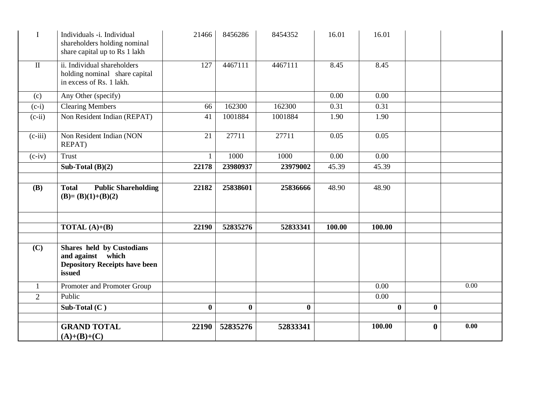| I              | Individuals -i. Individual<br>shareholders holding nominal<br>share capital up to Rs 1 lakh             | 21466    | 8456286  | 8454352  | 16.01  | 16.01        |          |      |
|----------------|---------------------------------------------------------------------------------------------------------|----------|----------|----------|--------|--------------|----------|------|
| $\mathbf{I}$   | ii. Individual shareholders<br>holding nominal share capital<br>in excess of Rs. 1 lakh.                | 127      | 4467111  | 4467111  | 8.45   | 8.45         |          |      |
| (c)            | Any Other (specify)                                                                                     |          |          |          | 0.00   | 0.00         |          |      |
| $(c-i)$        | <b>Clearing Members</b>                                                                                 | 66       | 162300   | 162300   | 0.31   | 0.31         |          |      |
| $(c-ii)$       | Non Resident Indian (REPAT)                                                                             | 41       | 1001884  | 1001884  | 1.90   | 1.90         |          |      |
| $(c-iii)$      | Non Resident Indian (NON<br>REPAT)                                                                      | 21       | 27711    | 27711    | 0.05   | 0.05         |          |      |
| $(c-iv)$       | <b>Trust</b>                                                                                            | 1        | 1000     | 1000     | 0.00   | 0.00         |          |      |
|                | Sub-Total $(B)(2)$                                                                                      | 22178    | 23980937 | 23979002 | 45.39  | 45.39        |          |      |
|                |                                                                                                         |          |          |          |        |              |          |      |
| <b>(B)</b>     | <b>Public Shareholding</b><br><b>Total</b><br>$(B)=(B)(1)+(B)(2)$                                       | 22182    | 25838601 | 25836666 | 48.90  | 48.90        |          |      |
|                |                                                                                                         |          |          |          |        |              |          |      |
|                | <b>TOTAL</b> $(A)+(B)$                                                                                  | 22190    | 52835276 | 52833341 | 100.00 | 100.00       |          |      |
| (C)            | <b>Shares held by Custodians</b><br>and against which<br><b>Depository Receipts have been</b><br>issued |          |          |          |        |              |          |      |
| 1              | Promoter and Promoter Group                                                                             |          |          |          |        | 0.00         |          | 0.00 |
| $\overline{2}$ | Public                                                                                                  |          |          |          |        | 0.00         |          |      |
|                | Sub-Total $(C)$                                                                                         | $\bf{0}$ | $\bf{0}$ | $\bf{0}$ |        | $\mathbf{0}$ | $\bf{0}$ |      |
|                |                                                                                                         |          |          |          |        |              |          |      |
|                | <b>GRAND TOTAL</b><br>$(A)+(B)+(C)$                                                                     | 22190    | 52835276 | 52833341 |        | 100.00       | $\bf{0}$ | 0.00 |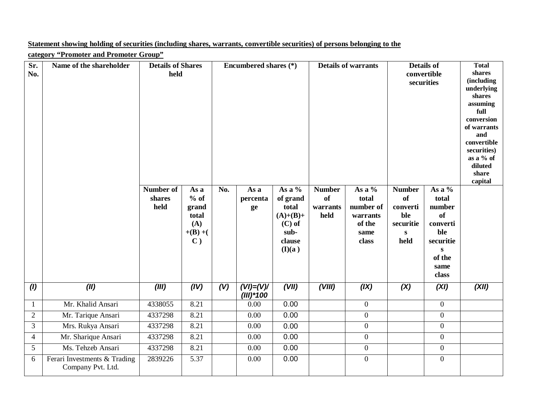## **Statement showing holding of securities (including shares, warrants, convertible securities) of persons belonging to the**

**category "Promoter and Promoter Group"**

| Sr.<br>No.       | Name of the shareholder                           | <b>Details of Shares</b><br>held |                                                                         | Encumbered shares (*) |                              | <b>Details of warrants</b>                                                        |                                         | <b>Details of</b><br>convertible<br>securities                      |                                                                                    | <b>Total</b><br>shares<br>(including<br>underlying<br>shares<br>assuming<br>full<br>conversion<br>of warrants<br>and<br>convertible<br>securities)<br>as a % of<br>diluted<br>share<br>capital |       |
|------------------|---------------------------------------------------|----------------------------------|-------------------------------------------------------------------------|-----------------------|------------------------------|-----------------------------------------------------------------------------------|-----------------------------------------|---------------------------------------------------------------------|------------------------------------------------------------------------------------|------------------------------------------------------------------------------------------------------------------------------------------------------------------------------------------------|-------|
|                  |                                                   | Number of<br>shares<br>held      | As a<br>$%$ of<br>grand<br>total<br>(A)<br>$+(B) + ($<br>$\mathbf{C}$ ) | No.                   | As a<br>percenta<br>ge       | As a %<br>of grand<br>total<br>$(A)+(B)+$<br>$(C)$ of<br>sub-<br>clause<br>(I)(a) | <b>Number</b><br>of<br>warrants<br>held | As a %<br>total<br>number of<br>warrants<br>of the<br>same<br>class | <b>Number</b><br><b>of</b><br>converti<br>ble<br>securitie<br>$\mathbf{s}$<br>held | As a %<br>total<br>number<br><b>of</b><br>converti<br>ble<br>securitie<br>S<br>of the<br>same<br>class                                                                                         |       |
| (1)              | (II)                                              | (III)                            | (IV)                                                                    | (V)                   | $(VI) = (V)/$<br>$(III)*100$ | (VII)                                                                             | (VIII)                                  | (IX)                                                                | (X)                                                                                | (XI)                                                                                                                                                                                           | (XII) |
| $\mathbf{1}$     | Mr. Khalid Ansari                                 | 4338055                          | 8.21                                                                    |                       | 0.00                         | 0.00                                                                              |                                         | $\boldsymbol{0}$                                                    |                                                                                    | $\overline{0}$                                                                                                                                                                                 |       |
| $\boldsymbol{2}$ | Mr. Tarique Ansari                                | 4337298                          | 8.21                                                                    |                       | 0.00                         | 0.00                                                                              |                                         | $\boldsymbol{0}$                                                    |                                                                                    | $\boldsymbol{0}$                                                                                                                                                                               |       |
| 3                | Mrs. Rukya Ansari                                 | 4337298                          | 8.21                                                                    |                       | 0.00                         | 0.00                                                                              |                                         | $\boldsymbol{0}$                                                    |                                                                                    | $\boldsymbol{0}$                                                                                                                                                                               |       |
| $\overline{4}$   | Mr. Sharique Ansari                               | 4337298                          | 8.21                                                                    |                       | 0.00                         | 0.00                                                                              |                                         | $\boldsymbol{0}$                                                    |                                                                                    | $\boldsymbol{0}$                                                                                                                                                                               |       |
| 5                | Ms. Tehzeb Ansari                                 | 4337298                          | 8.21                                                                    |                       | 0.00                         | 0.00                                                                              |                                         | $\boldsymbol{0}$                                                    |                                                                                    | $\boldsymbol{0}$                                                                                                                                                                               |       |
| 6                | Ferari Investments & Trading<br>Company Pvt. Ltd. | 2839226                          | 5.37                                                                    |                       | 0.00                         | 0.00                                                                              |                                         | $\boldsymbol{0}$                                                    |                                                                                    | $\overline{0}$                                                                                                                                                                                 |       |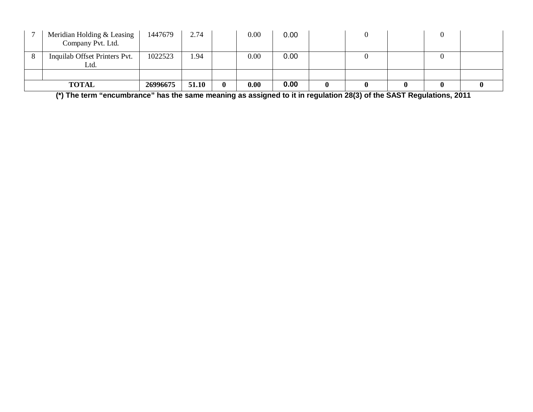| Meridian Holding & Leasing<br>Company Pvt. Ltd. | 1447679  | 2.74  |   | 0.00 | 0.00 |  |  |  |
|-------------------------------------------------|----------|-------|---|------|------|--|--|--|
| Inquilab Offset Printers Pvt.<br>Ltd.           | 1022523  | . .94 |   | 0.00 | 0.00 |  |  |  |
|                                                 |          |       |   |      |      |  |  |  |
| <b>TOTAL</b>                                    | 26996675 | 51.10 | 0 | 0.00 | 0.00 |  |  |  |

**(\*) The term "encumbrance" has the same meaning as assigned to it in regulation 28(3) of the SAST Regulations, 2011**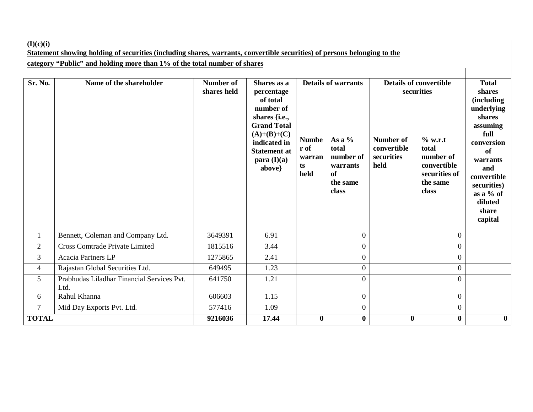## **(I)(c)(i) Statement showing holding of securities (including shares, warrants, convertible securities) of persons belonging to the category "Public" and holding more than 1% of the total number of shares**

| Sr. No.        | $\mathbf{u}$ , and $\mathbf{v}$ and $\mathbf{u}$ and $\mathbf{u}$ and $\mathbf{v}$ and $\mathbf{u}$ and $\mathbf{v}$ and $\mathbf{u}$ and $\mathbf{v}$<br>Name of the shareholder | <b>Number of</b><br>shares held | Shares as a<br>percentage<br>of total<br>number of<br>shares $\{i.e.,\}$<br><b>Grand Total</b><br>$(A)+(B)+(C)$<br>indicated in<br><b>Statement at</b><br>para (I)(a)<br>above} | <b>Numbe</b><br>r of<br>warran<br>ts<br>held | <b>Details of warrants</b><br>As a $%$<br>total<br>number of<br>warrants<br>of<br>the same<br>class | <b>Details of convertible</b><br>securities<br><b>Number of</b><br>convertible<br>securities<br>held | % w.r.t<br>total<br>number of<br>convertible<br>securities of<br>the same<br>class | <b>Total</b><br>shares<br><i>(including)</i><br>underlying<br>shares<br>assuming<br>full<br>conversion<br>of<br>warrants<br>and<br>convertible<br>securities)<br>as a $%$ of<br>diluted<br>share |
|----------------|-----------------------------------------------------------------------------------------------------------------------------------------------------------------------------------|---------------------------------|---------------------------------------------------------------------------------------------------------------------------------------------------------------------------------|----------------------------------------------|-----------------------------------------------------------------------------------------------------|------------------------------------------------------------------------------------------------------|------------------------------------------------------------------------------------|--------------------------------------------------------------------------------------------------------------------------------------------------------------------------------------------------|
|                |                                                                                                                                                                                   |                                 |                                                                                                                                                                                 |                                              |                                                                                                     |                                                                                                      |                                                                                    | capital                                                                                                                                                                                          |
| 1              | Bennett, Coleman and Company Ltd.                                                                                                                                                 | 3649391                         | 6.91                                                                                                                                                                            |                                              | $\boldsymbol{0}$                                                                                    |                                                                                                      | $\overline{0}$                                                                     |                                                                                                                                                                                                  |
| $\overline{2}$ | <b>Cross Comtrade Private Limited</b>                                                                                                                                             | 1815516                         | 3.44                                                                                                                                                                            |                                              | $\overline{0}$                                                                                      |                                                                                                      | $\overline{0}$                                                                     |                                                                                                                                                                                                  |
| 3              | Acacia Partners LP                                                                                                                                                                | 1275865                         | 2.41                                                                                                                                                                            |                                              | $\boldsymbol{0}$                                                                                    |                                                                                                      | $\overline{0}$                                                                     |                                                                                                                                                                                                  |
| 4              | Rajastan Global Securities Ltd.                                                                                                                                                   | 649495                          | 1.23                                                                                                                                                                            |                                              | $\boldsymbol{0}$                                                                                    |                                                                                                      | $\boldsymbol{0}$                                                                   |                                                                                                                                                                                                  |
| 5              | Prabhudas Liladhar Financial Services Pvt.<br>Ltd.                                                                                                                                | 641750                          | 1.21                                                                                                                                                                            |                                              | $\overline{0}$                                                                                      |                                                                                                      | $\overline{0}$                                                                     |                                                                                                                                                                                                  |
| 6              | Rahul Khanna                                                                                                                                                                      | 606603                          | 1.15                                                                                                                                                                            |                                              | $\boldsymbol{0}$                                                                                    |                                                                                                      | $\boldsymbol{0}$                                                                   |                                                                                                                                                                                                  |
| $\overline{7}$ | Mid Day Exports Pvt. Ltd.                                                                                                                                                         | 577416                          | 1.09                                                                                                                                                                            |                                              | $\overline{0}$                                                                                      |                                                                                                      | $\boldsymbol{0}$                                                                   |                                                                                                                                                                                                  |
| <b>TOTAL</b>   |                                                                                                                                                                                   | 9216036                         | 17.44                                                                                                                                                                           | $\bf{0}$                                     | $\bf{0}$                                                                                            | $\bf{0}$                                                                                             | $\bf{0}$                                                                           | $\bf{0}$                                                                                                                                                                                         |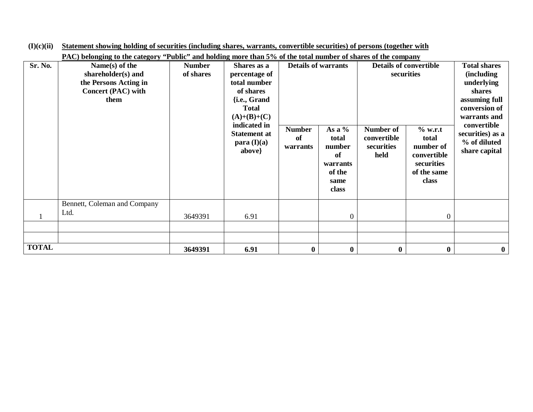|              | PAC) belonging to the category "Public" and holding more than 5% of the total number of shares of the company |                            |                                                                                                                                                                            |                                 |                                                                                                        |          |                                                                                                                                                                                       |          |  |  |
|--------------|---------------------------------------------------------------------------------------------------------------|----------------------------|----------------------------------------------------------------------------------------------------------------------------------------------------------------------------|---------------------------------|--------------------------------------------------------------------------------------------------------|----------|---------------------------------------------------------------------------------------------------------------------------------------------------------------------------------------|----------|--|--|
| Sr. No.      | Name(s) of the<br>shareholder(s) and<br>the Persons Acting in<br>Concert (PAC) with<br>them                   | <b>Number</b><br>of shares | Shares as a<br>percentage of<br>total number<br>of shares<br>{i.e., Grand<br><b>Total</b><br>$(A)+(B)+(C)$<br>indicated in<br><b>Statement at</b><br>para (I)(a)<br>above} | <b>Number</b><br>of<br>warrants | <b>Details of warrants</b><br>As a $%$<br>total<br>number<br>of<br>warrants<br>of the<br>same<br>class |          | <b>Details of convertible</b><br>securities<br>Number of<br>$%$ w.r.t<br>convertible<br>total<br>securities<br>number of<br>held<br>convertible<br>securities<br>of the same<br>class |          |  |  |
|              | Bennett, Coleman and Company<br>Ltd.                                                                          | 3649391                    | 6.91                                                                                                                                                                       |                                 | $\theta$                                                                                               |          | $\Omega$                                                                                                                                                                              |          |  |  |
| <b>TOTAL</b> |                                                                                                               | 3649391                    | 6.91                                                                                                                                                                       | $\boldsymbol{0}$                | $\boldsymbol{0}$                                                                                       | $\bf{0}$ | $\boldsymbol{0}$                                                                                                                                                                      | $\bf{0}$ |  |  |

**(I)(c)(ii) Statement showing holding of securities (including shares, warrants, convertible securities) of persons (together with**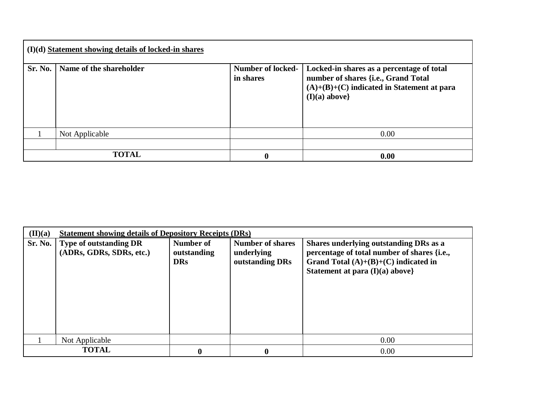| $(I)(d)$ Statement showing details of locked-in shares |                         |                                       |                                                                                                                                                     |  |  |  |  |  |
|--------------------------------------------------------|-------------------------|---------------------------------------|-----------------------------------------------------------------------------------------------------------------------------------------------------|--|--|--|--|--|
| Sr. No.                                                | Name of the shareholder | <b>Number of locked-</b><br>in shares | Locked-in shares as a percentage of total<br>number of shares {i.e., Grand Total<br>$(A)+(B)+(C)$ indicated in Statement at para<br>$(I)(a)$ above} |  |  |  |  |  |
|                                                        | Not Applicable          |                                       | 0.00                                                                                                                                                |  |  |  |  |  |
|                                                        |                         |                                       |                                                                                                                                                     |  |  |  |  |  |
|                                                        | <b>TOTAL</b>            | $\boldsymbol{0}$                      | 0.00                                                                                                                                                |  |  |  |  |  |

| $(\mathbf{II})(\mathbf{a})$ | <b>Statement showing details of Depository Receipts (DRs)</b> |                                        |                                                          |                                                                                                                                                                      |  |  |  |  |  |
|-----------------------------|---------------------------------------------------------------|----------------------------------------|----------------------------------------------------------|----------------------------------------------------------------------------------------------------------------------------------------------------------------------|--|--|--|--|--|
| Sr. No.                     | <b>Type of outstanding DR</b><br>(ADRs, GDRs, SDRs, etc.)     | Number of<br>outstanding<br><b>DRs</b> | <b>Number of shares</b><br>underlying<br>outstanding DRs | Shares underlying outstanding DRs as a<br>percentage of total number of shares {i.e.,<br>Grand Total $(A)+(B)+(C)$ indicated in<br>Statement at para $(I)(a)$ above} |  |  |  |  |  |
|                             | Not Applicable                                                |                                        |                                                          | 0.00                                                                                                                                                                 |  |  |  |  |  |
|                             | <b>TOTAL</b>                                                  | 0                                      | $\mathbf 0$                                              | 0.00                                                                                                                                                                 |  |  |  |  |  |